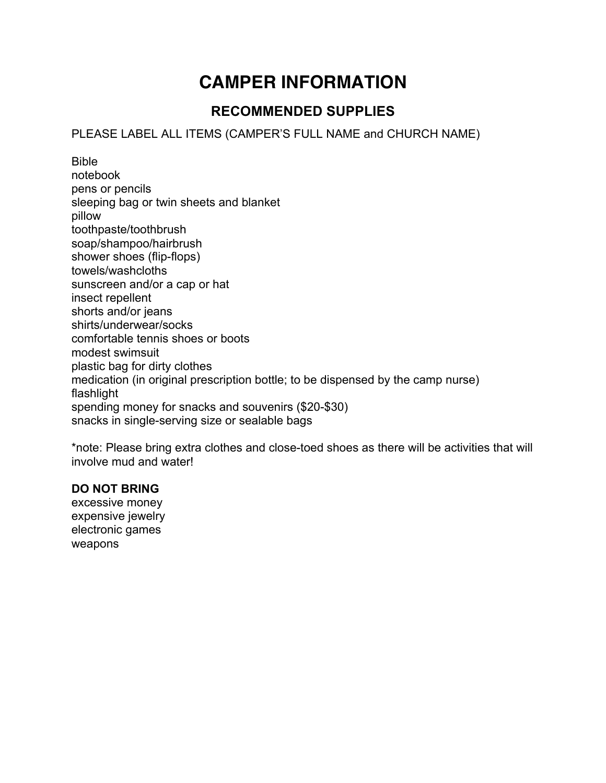# **CAMPER INFORMATION**

# **RECOMMENDED SUPPLIES**

### PLEASE LABEL ALL ITEMS (CAMPER'S FULL NAME and CHURCH NAME)

Bible notebook pens or pencils sleeping bag or twin sheets and blanket pillow toothpaste/toothbrush soap/shampoo/hairbrush shower shoes (flip-flops) towels/washcloths sunscreen and/or a cap or hat insect repellent shorts and/or jeans shirts/underwear/socks comfortable tennis shoes or boots modest swimsuit plastic bag for dirty clothes medication (in original prescription bottle; to be dispensed by the camp nurse) flashlight spending money for snacks and souvenirs (\$20-\$30) snacks in single-serving size or sealable bags

\*note: Please bring extra clothes and close-toed shoes as there will be activities that will involve mud and water!

#### **DO NOT BRING**

excessive money expensive jewelry electronic games weapons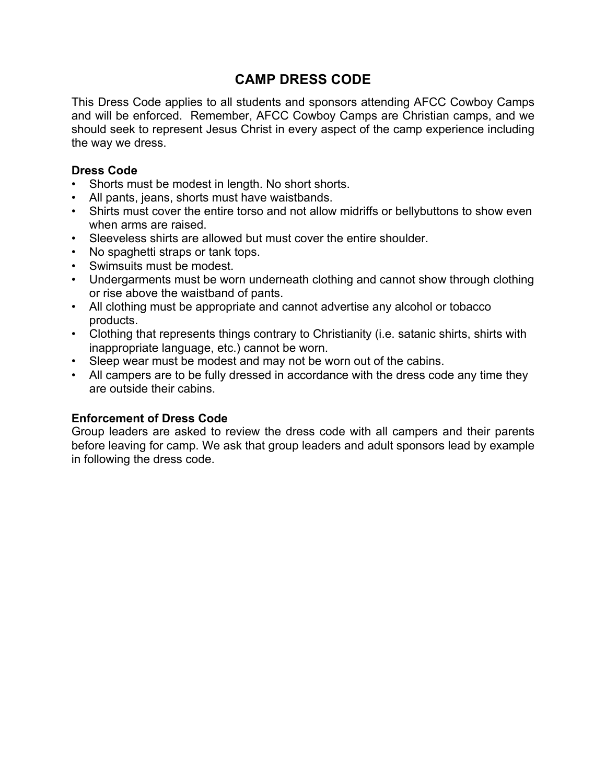# **CAMP DRESS CODE**

This Dress Code applies to all students and sponsors attending AFCC Cowboy Camps and will be enforced. Remember, AFCC Cowboy Camps are Christian camps, and we should seek to represent Jesus Christ in every aspect of the camp experience including the way we dress.

#### **Dress Code**

- Shorts must be modest in length. No short shorts.
- All pants, jeans, shorts must have waistbands.
- Shirts must cover the entire torso and not allow midriffs or bellybuttons to show even when arms are raised.
- Sleeveless shirts are allowed but must cover the entire shoulder.
- No spaghetti straps or tank tops.
- Swimsuits must be modest.
- Undergarments must be worn underneath clothing and cannot show through clothing or rise above the waistband of pants.
- All clothing must be appropriate and cannot advertise any alcohol or tobacco products.
- Clothing that represents things contrary to Christianity (i.e. satanic shirts, shirts with inappropriate language, etc.) cannot be worn.
- Sleep wear must be modest and may not be worn out of the cabins.
- All campers are to be fully dressed in accordance with the dress code any time they are outside their cabins.

#### **Enforcement of Dress Code**

Group leaders are asked to review the dress code with all campers and their parents before leaving for camp. We ask that group leaders and adult sponsors lead by example in following the dress code.